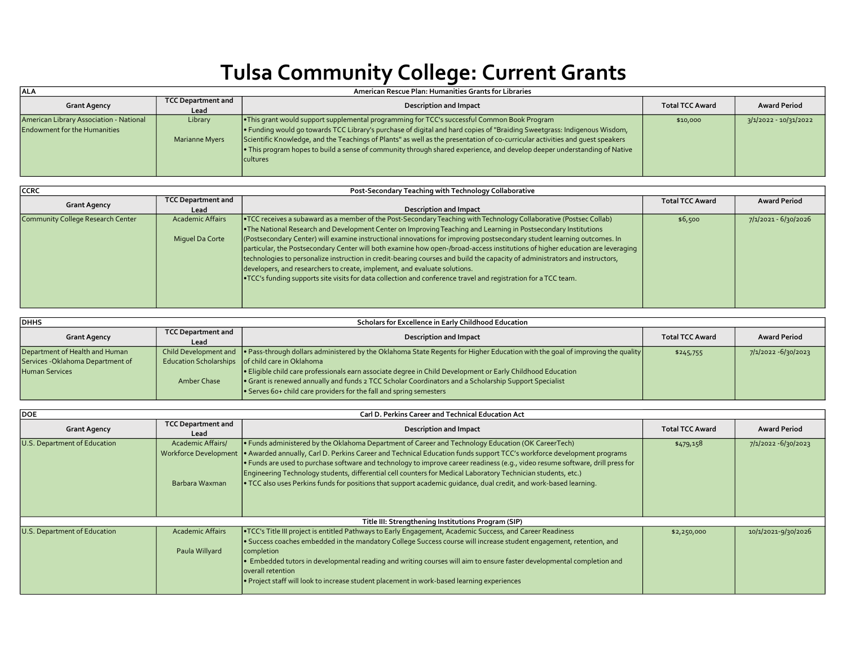## Tulsa Community College: Current Grants

| ALA                                                                            | American Rescue Plan: Humanities Grants for Libraries |                                                                                                                                                                                                                                                                                                                                                                                                                                                                                                          |                        |                       |  |
|--------------------------------------------------------------------------------|-------------------------------------------------------|----------------------------------------------------------------------------------------------------------------------------------------------------------------------------------------------------------------------------------------------------------------------------------------------------------------------------------------------------------------------------------------------------------------------------------------------------------------------------------------------------------|------------------------|-----------------------|--|
| <b>Grant Agency</b>                                                            | TCC Department and<br>Lead                            | Description and Impact                                                                                                                                                                                                                                                                                                                                                                                                                                                                                   | <b>Total TCC Award</b> | Award Period          |  |
| American Library Association - National<br><b>Endowment for the Humanities</b> | Library<br><b>Marianne Myers</b>                      | <b>I</b> This grant would support supplemental programming for TCC's successful Common Book Program<br>• Funding would go towards TCC Library's purchase of digital and hard copies of "Braiding Sweetgrass: Indigenous Wisdom,<br>Scientific Knowledge, and the Teachings of Plants" as well as the presentation of co-curricular activities and quest speakers<br>• This program hopes to build a sense of community through shared experience, and develop deeper understanding of Native<br>cultures | \$10,000               | 3/1/2022 - 10/31/2022 |  |

| <b>CCRC</b>                       |                           | Post-Secondary Teaching with Technology Collaborative                                                                         |                        |                        |
|-----------------------------------|---------------------------|-------------------------------------------------------------------------------------------------------------------------------|------------------------|------------------------|
|                                   | <b>TCC Department and</b> |                                                                                                                               | <b>Total TCC Award</b> | <b>Award Period</b>    |
| <b>Grant Agency</b>               | Lead                      | <b>Description and Impact</b>                                                                                                 |                        |                        |
| Community College Research Center | <b>Academic Affairs</b>   | • TCC receives a subaward as a member of the Post-Secondary Teaching with Technology Collaborative (Postsec Collab)           | \$6,500                | $7/1/2021 - 6/30/2026$ |
|                                   |                           | . The National Research and Development Center on Improving Teaching and Learning in Postsecondary Institutions               |                        |                        |
|                                   | Miquel Da Corte           | (Postsecondary Center) will examine instructional innovations for improving postsecondary student learning outcomes. In       |                        |                        |
|                                   |                           | particular, the Postsecondary Center will both examine how open-/broad-access institutions of higher education are leveraging |                        |                        |
|                                   |                           | technologies to personalize instruction in credit-bearing courses and build the capacity of administrators and instructors,   |                        |                        |
|                                   |                           | developers, and researchers to create, implement, and evaluate solutions.                                                     |                        |                        |
|                                   |                           | • TCC's funding supports site visits for data collection and conference travel and registration for a TCC team.               |                        |                        |
|                                   |                           |                                                                                                                               |                        |                        |
|                                   |                           |                                                                                                                               |                        |                        |
|                                   |                           |                                                                                                                               |                        |                        |

| <b>DHHS</b>                       |                           | Scholars for Excellence in Early Childhood Education                                                                                                |                        |                      |
|-----------------------------------|---------------------------|-----------------------------------------------------------------------------------------------------------------------------------------------------|------------------------|----------------------|
| <b>Grant Agency</b>               | <b>TCC Department and</b> | Description and Impact                                                                                                                              | <b>Total TCC Award</b> | <b>Award Period</b>  |
|                                   | Lead                      |                                                                                                                                                     |                        |                      |
| Department of Health and Human    |                           | Child Development and ● Pass-through dollars administered by the Oklahoma State Regents for Higher Education with the goal of improving the quality | \$245,755              | 7/1/2022 - 6/30/2023 |
| Services - Oklahoma Department of |                           | Education Scholarships   of child care in Oklahoma                                                                                                  |                        |                      |
| <b>Human Services</b>             |                           | . Eligible child care professionals earn associate degree in Child Development or Early Childhood Education                                         |                        |                      |
|                                   | Amber Chase               | • Grant is renewed annually and funds 2 TCC Scholar Coordinators and a Scholarship Support Specialist                                               |                        |                      |
|                                   |                           | $\cdot$ Serves 60+ child care providers for the fall and spring semesters                                                                           |                        |                      |

| <b>DOE</b>                   | Carl D. Perkins Career and Technical Education Act                         |                                                                                                                                                                                                                                                                                                                                                                                                                                                                                                                                                                                                     |                        |                        |  |
|------------------------------|----------------------------------------------------------------------------|-----------------------------------------------------------------------------------------------------------------------------------------------------------------------------------------------------------------------------------------------------------------------------------------------------------------------------------------------------------------------------------------------------------------------------------------------------------------------------------------------------------------------------------------------------------------------------------------------------|------------------------|------------------------|--|
| <b>Grant Agency</b>          | <b>TCC Department and</b><br>Lead                                          | <b>Description and Impact</b>                                                                                                                                                                                                                                                                                                                                                                                                                                                                                                                                                                       | <b>Total TCC Award</b> | <b>Award Period</b>    |  |
| U.S. Department of Education | <b>Academic Affairs/</b><br><b>Workforce Development</b><br>Barbara Waxman | . Funds administered by the Oklahoma Department of Career and Technology Education (OK CareerTech)<br>. Awarded annually, Carl D. Perkins Career and Technical Education funds support TCC's workforce development programs<br>. Funds are used to purchase software and technology to improve career readiness (e.g., video resume software, drill press for<br>Engineering Technology students, differential cell counters for Medical Laboratory Technician students, etc.)<br>. TCC also uses Perkins funds for positions that support academic quidance, dual credit, and work-based learning. | \$479,158              | $7/1/2022 - 6/30/2023$ |  |
|                              |                                                                            | Title III: Strengthening Institutions Program (SIP)                                                                                                                                                                                                                                                                                                                                                                                                                                                                                                                                                 |                        |                        |  |
| U.S. Department of Education | <b>Academic Affairs</b><br>Paula Willyard                                  | . TCC's Title III project is entitled Pathways to Early Engagement, Academic Success, and Career Readiness<br>. Success coaches embedded in the mandatory College Success course will increase student engagement, retention, and<br>completion<br>. Embedded tutors in developmental reading and writing courses will aim to ensure faster developmental completion and<br>overall retention<br>. Project staff will look to increase student placement in work-based learning experiences                                                                                                         | \$2,250,000            | 10/1/2021-9/30/2026    |  |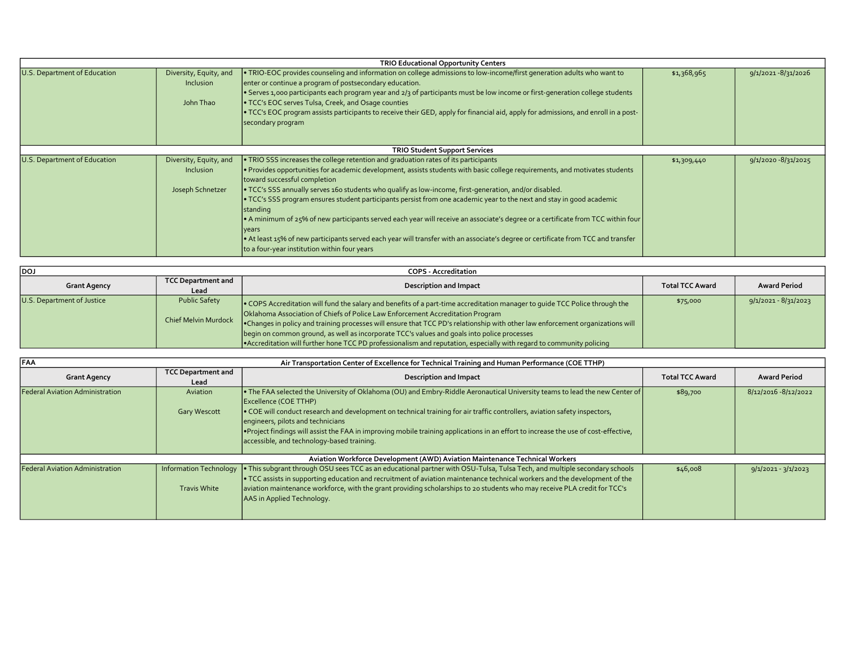| <b>TRIO Educational Opportunity Centers</b> |                                                                |                                                                                                                                                                                                                                                                                                                                                                                                                                                                                                                                                                                                                                                                                                                                                                                                                                            |             |                        |  |
|---------------------------------------------|----------------------------------------------------------------|--------------------------------------------------------------------------------------------------------------------------------------------------------------------------------------------------------------------------------------------------------------------------------------------------------------------------------------------------------------------------------------------------------------------------------------------------------------------------------------------------------------------------------------------------------------------------------------------------------------------------------------------------------------------------------------------------------------------------------------------------------------------------------------------------------------------------------------------|-------------|------------------------|--|
| U.S. Department of Education                | Diversity, Equity, and<br><b>Inclusion</b><br>John Thao        | • TRIO-EOC provides counseling and information on college admissions to low-income/first generation adults who want to<br>enter or continue a program of postsecondary education.<br>• Serves 1,000 participants each program year and 2/3 of participants must be low income or first-generation college students<br><b>• TCC's EOC serves Tulsa, Creek, and Osage counties</b><br>• TCC's EOC program assists participants to receive their GED, apply for financial aid, apply for admissions, and enroll in a post-<br>secondary program                                                                                                                                                                                                                                                                                               | \$1,368,965 | $9/1/2021 - 8/31/2026$ |  |
|                                             | <b>TRIO Student Support Services</b>                           |                                                                                                                                                                                                                                                                                                                                                                                                                                                                                                                                                                                                                                                                                                                                                                                                                                            |             |                        |  |
| U.S. Department of Education                | Diversity, Equity, and<br><b>Inclusion</b><br>Joseph Schnetzer | $\cdot$ TRIO SSS increases the college retention and graduation rates of its participants<br>. Provides opportunities for academic development, assists students with basic college requirements, and motivates students<br>toward successful completion<br>• TCC's SSS annually serves 160 students who qualify as low-income, first-generation, and/or disabled.<br>• TCC's SSS program ensures student participants persist from one academic year to the next and stay in good academic<br>standing<br>• A minimum of 25% of new participants served each year will receive an associate's degree or a certificate from TCC within four<br> years<br>• At least 15% of new participants served each year will transfer with an associate's degree or certificate from TCC and transfer<br>to a four-year institution within four years | \$1,309,440 | $9/1/2020 - 8/31/2025$ |  |

| ldoj                       |                                                     | <b>COPS - Accreditation</b>                                                                                                                                                                                                                                                                                                                                                                                                                    |                        |                        |
|----------------------------|-----------------------------------------------------|------------------------------------------------------------------------------------------------------------------------------------------------------------------------------------------------------------------------------------------------------------------------------------------------------------------------------------------------------------------------------------------------------------------------------------------------|------------------------|------------------------|
| <b>Grant Agency</b>        | <b>TCC Department and</b>                           | <b>Description and Impact</b>                                                                                                                                                                                                                                                                                                                                                                                                                  | <b>Total TCC Award</b> | <b>Award Period</b>    |
|                            | Lead                                                |                                                                                                                                                                                                                                                                                                                                                                                                                                                |                        |                        |
| U.S. Department of Justice | <b>Public Safety</b><br><b>Chief Melvin Murdock</b> | . COPS Accreditation will fund the salary and benefits of a part-time accreditation manager to quide TCC Police through the<br>Oklahoma Association of Chiefs of Police Law Enforcement Accreditation Program<br>•Changes in policy and training processes will ensure that TCC PD's relationship with other law enforcement organizations will<br>begin on common ground, as well as incorporate TCC's values and goals into police processes | \$75,000               | $9/1/2021 - 8/31/2023$ |
|                            |                                                     | • Accreditation will further hone TCC PD professionalism and reputation, especially with regard to community policing                                                                                                                                                                                                                                                                                                                          |                        |                        |

| <b>FAA</b>                             | Air Transportation Center of Excellence for Technical Training and Human Performance (COE TTHP) |                                                                                                                                                                                                                                                                                                                                                                                                                                                                                                              |                        |                       |  |
|----------------------------------------|-------------------------------------------------------------------------------------------------|--------------------------------------------------------------------------------------------------------------------------------------------------------------------------------------------------------------------------------------------------------------------------------------------------------------------------------------------------------------------------------------------------------------------------------------------------------------------------------------------------------------|------------------------|-----------------------|--|
| <b>Grant Agency</b>                    | <b>TCC Department and</b><br>Lead                                                               | <b>Description and Impact</b>                                                                                                                                                                                                                                                                                                                                                                                                                                                                                | <b>Total TCC Award</b> | <b>Award Period</b>   |  |
| <b>Federal Aviation Administration</b> | Aviation<br><b>Gary Wescott</b>                                                                 | • The FAA selected the University of Oklahoma (OU) and Embry-Riddle Aeronautical University teams to lead the new Center of<br>Excellence (COE TTHP)<br>• COE will conduct research and development on technical training for air traffic controllers, aviation safety inspectors,<br>engineers, pilots and technicians<br>•Project findings will assist the FAA in improving mobile training applications in an effort to increase the use of cost-effective,<br>accessible, and technology-based training. | \$89,700               | 8/12/2016 - 8/12/2022 |  |
|                                        |                                                                                                 | Aviation Workforce Development (AWD) Aviation Maintenance Technical Workers                                                                                                                                                                                                                                                                                                                                                                                                                                  |                        |                       |  |
| <b>Federal Aviation Administration</b> | Information Technology<br><b>Travis White</b>                                                   | • This subgrant through OSU sees TCC as an educational partner with OSU-Tulsa, Tulsa Tech, and multiple secondary schools<br>• TCC assists in supporting education and recruitment of aviation maintenance technical workers and the development of the<br>aviation maintenance workforce, with the grant providing scholarships to 20 students who may receive PLA credit for TCC's<br>AAS in Applied Technology.                                                                                           | \$46,008               | $9/1/2021 - 3/1/2023$ |  |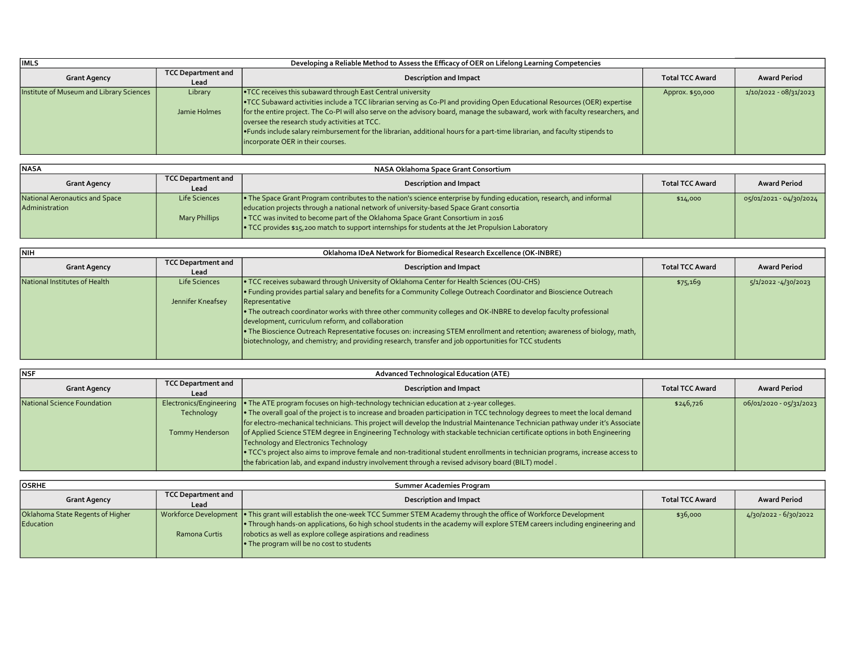| <b>IIMLS</b>                             | Developing a Reliable Method to Assess the Efficacy of OER on Lifelong Learning Competencies |                                                                                                                                                                                                                                                                                                                                                                                                                                                                                                                                                             |                        |                          |  |
|------------------------------------------|----------------------------------------------------------------------------------------------|-------------------------------------------------------------------------------------------------------------------------------------------------------------------------------------------------------------------------------------------------------------------------------------------------------------------------------------------------------------------------------------------------------------------------------------------------------------------------------------------------------------------------------------------------------------|------------------------|--------------------------|--|
| <b>Grant Agency</b>                      | <b>TCC Department and</b><br>Lead                                                            | <b>Description and Impact</b>                                                                                                                                                                                                                                                                                                                                                                                                                                                                                                                               | <b>Total TCC Award</b> | Award Period             |  |
| Institute of Museum and Library Sciences | Library<br>Jamie Holmes                                                                      | <b>•TCC</b> receives this subaward through East Central university<br>•TCC Subaward activities include a TCC librarian serving as Co-PI and providing Open Educational Resources (OER) expertise<br>  for the entire project. The Co-PI will also serve on the advisory board, manage the subaward, work with faculty researchers, and<br>oversee the research study activities at TCC.<br>. Funds include salary reimbursement for the librarian, additional hours for a part-time librarian, and faculty stipends to<br>incorporate OER in their courses. | Approx. \$50,000       | $1/10/2022 - 08/31/2023$ |  |

| <b>NASA</b>                    |                           | NASA Oklahoma Space Grant Consortium                                                                                  |                        |                         |
|--------------------------------|---------------------------|-----------------------------------------------------------------------------------------------------------------------|------------------------|-------------------------|
| <b>Grant Agency</b>            | <b>TCC Department and</b> | Description and Impact                                                                                                | <b>Total TCC Award</b> | Award Period            |
|                                | Lead                      |                                                                                                                       |                        |                         |
| National Aeronautics and Space | Life Sciences             | • The Space Grant Program contributes to the nation's science enterprise by funding education, research, and informal | \$14,000               | 05/01/2021 - 04/30/2024 |
| Administration                 |                           | education projects through a national network of university-based Space Grant consortia                               |                        |                         |
|                                | <b>Mary Phillips</b>      | • TCC was invited to become part of the Oklahoma Space Grant Consortium in 2016                                       |                        |                         |
|                                |                           | • TCC provides \$15,200 match to support internships for students at the Jet Propulsion Laboratory                    |                        |                         |

| <b>NIH</b>                    | Oklahoma IDeA Network for Biomedical Research Excellence (OK-INBRE) |                                                                                                                                                                                                                                                                                                                                                                                                                                                                                                                                                                                                                                                    |                        |                        |  |
|-------------------------------|---------------------------------------------------------------------|----------------------------------------------------------------------------------------------------------------------------------------------------------------------------------------------------------------------------------------------------------------------------------------------------------------------------------------------------------------------------------------------------------------------------------------------------------------------------------------------------------------------------------------------------------------------------------------------------------------------------------------------------|------------------------|------------------------|--|
| <b>Grant Agency</b>           | <b>TCC Department and</b><br>Lead                                   | <b>Description and Impact</b>                                                                                                                                                                                                                                                                                                                                                                                                                                                                                                                                                                                                                      | <b>Total TCC Award</b> | Award Period           |  |
| National Institutes of Health | Life Sciences<br>Jennifer Kneafsey                                  | • TCC receives subaward through University of Oklahoma Center for Health Sciences (OU-CHS)<br>Funding provides partial salary and benefits for a Community College Outreach Coordinator and Bioscience Outreach<br>Representative<br>• The outreach coordinator works with three other community colleges and OK-INBRE to develop faculty professional<br>development, curriculum reform, and collaboration<br>• The Bioscience Outreach Representative focuses on: increasing STEM enrollment and retention; awareness of biology, math,<br>biotechnology, and chemistry; and providing research, transfer and job opportunities for TCC students | \$75,169               | $5/1/2022 - 4/30/2023$ |  |

| <b>NSF</b>                  |                                                          | <b>Advanced Technological Education (ATE)</b>                                                                                                                                                                                                                                                                                                                                                                                                                                                                                                                                                                                                                                                                                                                              |                        |                         |
|-----------------------------|----------------------------------------------------------|----------------------------------------------------------------------------------------------------------------------------------------------------------------------------------------------------------------------------------------------------------------------------------------------------------------------------------------------------------------------------------------------------------------------------------------------------------------------------------------------------------------------------------------------------------------------------------------------------------------------------------------------------------------------------------------------------------------------------------------------------------------------------|------------------------|-------------------------|
| <b>Grant Agency</b>         | <b>TCC Department and</b><br>Lead                        | Description and Impact                                                                                                                                                                                                                                                                                                                                                                                                                                                                                                                                                                                                                                                                                                                                                     | <b>Total TCC Award</b> | Award Period            |
| National Science Foundation | Electronics/Engineering<br>Technology<br>Tommy Henderson | • The ATE program focuses on high-technology technician education at 2-year colleges.<br>• The overall goal of the project is to increase and broaden participation in TCC technology degrees to meet the local demand<br>for electro-mechanical technicians. This project will develop the Industrial Maintenance Technician pathway under it's Associate<br>of Applied Science STEM degree in Engineering Technology with stackable technician certificate options in both Engineering<br>Technology and Electronics Technology<br>• TCC's project also aims to improve female and non-traditional student enrollments in technician programs, increase access to<br>the fabrication lab, and expand industry involvement through a revised advisory board (BILT) model. | \$246,726              | 06/01/2020 - 05/31/2023 |

| <b>OSRHE</b>                                  |                                   | Summer Academies Program                                                                                                                                                                                                                                                                                                                                                                 |                        |                         |
|-----------------------------------------------|-----------------------------------|------------------------------------------------------------------------------------------------------------------------------------------------------------------------------------------------------------------------------------------------------------------------------------------------------------------------------------------------------------------------------------------|------------------------|-------------------------|
| <b>Grant Agency</b>                           | <b>TCC Department and</b><br>Lead | <b>Description and Impact</b>                                                                                                                                                                                                                                                                                                                                                            | <b>Total TCC Award</b> | Award Period            |
| Oklahoma State Regents of Higher<br>Education | Ramona Curtis                     | Workforce Development   • This grant will establish the one-week TCC Summer STEM Academy through the office of Workforce Development<br>• Through hands-on applications, 60 high school students in the academy will explore STEM careers including engineering and<br>robotics as well as explore college aspirations and readiness<br><b>•</b> The program will be no cost to students | \$36,000               | $4/30/2022 - 6/30/2022$ |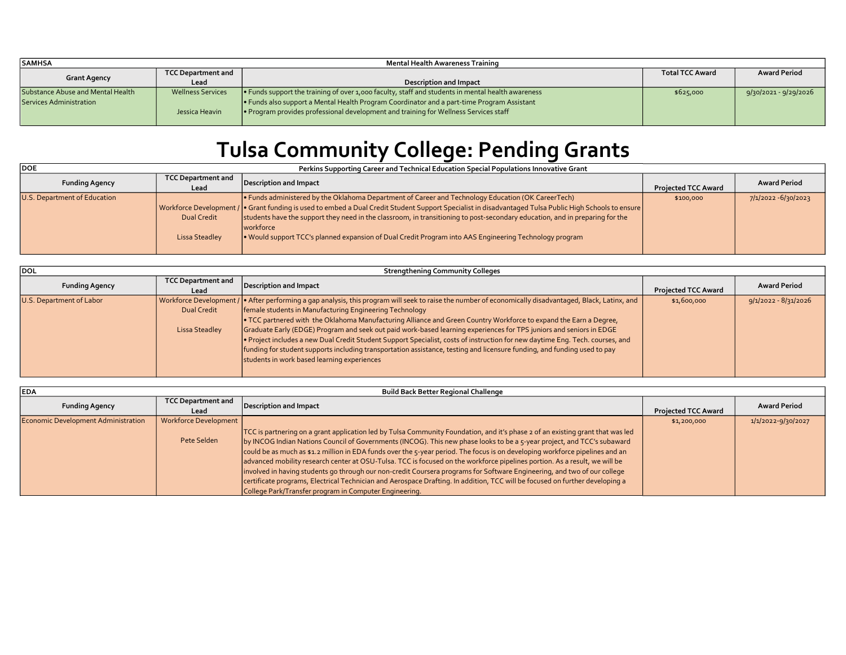| <b>SAMHSA</b>                     |                           | Mental Health Awareness Training                                                                          |                        |                       |
|-----------------------------------|---------------------------|-----------------------------------------------------------------------------------------------------------|------------------------|-----------------------|
| <b>Grant Agency</b>               | <b>TCC Department and</b> |                                                                                                           | <b>Total TCC Award</b> | <b>Award Period</b>   |
|                                   | Lead                      | <b>Description and Impact</b>                                                                             |                        |                       |
| Substance Abuse and Mental Health | <b>Wellness Services</b>  | $\bullet$ Funds support the training of over 1,000 faculty, staff and students in mental health awareness | \$625,000              | 9/30/2021 - 9/29/2026 |
| Services Administration           |                           | Funds also support a Mental Health Program Coordinator and a part-time Program Assistant                  |                        |                       |
|                                   | Jessica Heavin            | • Program provides professional development and training for Wellness Services staff                      |                        |                       |
|                                   |                           |                                                                                                           |                        |                       |

## Tulsa Community College: Pending Grants

**DOE** 

Perkins Supporting Career and Technical Education Special Populations Innovative Grant

| <b>Funding Agency</b>        | TCC Department and<br>Lead           | Description and Impact                                                                                                                                                                                                                                                                                                                                                                                                                                                                                                       | <b>Projected TCC Award</b> | <b>Award Period</b> |
|------------------------------|--------------------------------------|------------------------------------------------------------------------------------------------------------------------------------------------------------------------------------------------------------------------------------------------------------------------------------------------------------------------------------------------------------------------------------------------------------------------------------------------------------------------------------------------------------------------------|----------------------------|---------------------|
| U.S. Department of Education | <b>Dual Credit</b><br>Lissa Steadley | • Funds administered by the Oklahoma Department of Career and Technology Education (OK CareerTech)<br>  Workforce Development /   Grant funding is used to embed a Dual Credit Student Support Specialist in disadvantaged Tulsa Public High Schools to ensure<br>students have the support they need in the classroom, in transitioning to post-secondary education, and in preparing for the<br><i>workforce</i><br>. Would support TCC's planned expansion of Dual Credit Program into AAS Engineering Technology program | \$100,000                  | 7/1/2022 -6/30/2023 |

| <b>DOL</b>               | <b>Strengthening Community Colleges</b> |                                                                                                                                                           |                            |                        |  |
|--------------------------|-----------------------------------------|-----------------------------------------------------------------------------------------------------------------------------------------------------------|----------------------------|------------------------|--|
| <b>Funding Agency</b>    | <b>TCC Department and</b>               | Description and Impact                                                                                                                                    |                            | <b>Award Period</b>    |  |
|                          | Lead                                    |                                                                                                                                                           | <b>Projected TCC Award</b> |                        |  |
| U.S. Department of Labor |                                         | Vorkforce Development /   • After performing a gap analysis, this program will seek to raise the number of economically disadvantaged, Black, Latinx, and | \$1,600,000                | $9/1/2022 - 8/31/2026$ |  |
|                          | <b>Dual Credit</b>                      | Female students in Manufacturing Engineering Technology                                                                                                   |                            |                        |  |
|                          |                                         | • TCC partnered with the Oklahoma Manufacturing Alliance and Green Country Workforce to expand the Earn a Degree,                                         |                            |                        |  |
|                          | Lissa Steadley                          | Graduate Early (EDGE) Program and seek out paid work-based learning experiences for TPS juniors and seniors in EDGE                                       |                            |                        |  |
|                          |                                         | Project includes a new Dual Credit Student Support Specialist, costs of instruction for new daytime Eng. Tech. courses, and                               |                            |                        |  |
|                          |                                         | funding for student supports including transportation assistance, testing and licensure funding, and funding used to pay                                  |                            |                        |  |
|                          |                                         | students in work based learning experiences                                                                                                               |                            |                        |  |
|                          |                                         |                                                                                                                                                           |                            |                        |  |

| <b>IEDA</b>                         | <b>Build Back Better Regional Challenge</b> |                                                                                                                                                                                                                                                                                                                                                                                                                                                                                                                                                                                                                                                                                                                                                                                                                                               |                            |                     |  |
|-------------------------------------|---------------------------------------------|-----------------------------------------------------------------------------------------------------------------------------------------------------------------------------------------------------------------------------------------------------------------------------------------------------------------------------------------------------------------------------------------------------------------------------------------------------------------------------------------------------------------------------------------------------------------------------------------------------------------------------------------------------------------------------------------------------------------------------------------------------------------------------------------------------------------------------------------------|----------------------------|---------------------|--|
| <b>Funding Agency</b>               | <b>TCC Department and</b><br>Lead           | Description and Impact                                                                                                                                                                                                                                                                                                                                                                                                                                                                                                                                                                                                                                                                                                                                                                                                                        | <b>Projected TCC Award</b> | <b>Award Period</b> |  |
| Economic Development Administration | Workforce Development                       |                                                                                                                                                                                                                                                                                                                                                                                                                                                                                                                                                                                                                                                                                                                                                                                                                                               | \$1,200,000                | 1/1/2022-9/30/2027  |  |
|                                     | Pete Selden                                 | TCC is partnering on a grant application led by Tulsa Community Foundation, and it's phase 2 of an existing grant that was led<br>by INCOG Indian Nations Council of Governments (INCOG). This new phase looks to be a 5-year project, and TCC's subaward<br>could be as much as \$1.2 million in EDA funds over the 5-year period. The focus is on developing workforce pipelines and an<br>advanced mobility research center at OSU-Tulsa. TCC is focused on the workforce pipelines portion. As a result, we will be<br>involved in having students go through our non-credit Coursera programs for Software Engineering, and two of our college<br>certificate programs, Electrical Technician and Aerospace Drafting. In addition, TCC will be focused on further developing a<br>College Park/Transfer program in Computer Engineering. |                            |                     |  |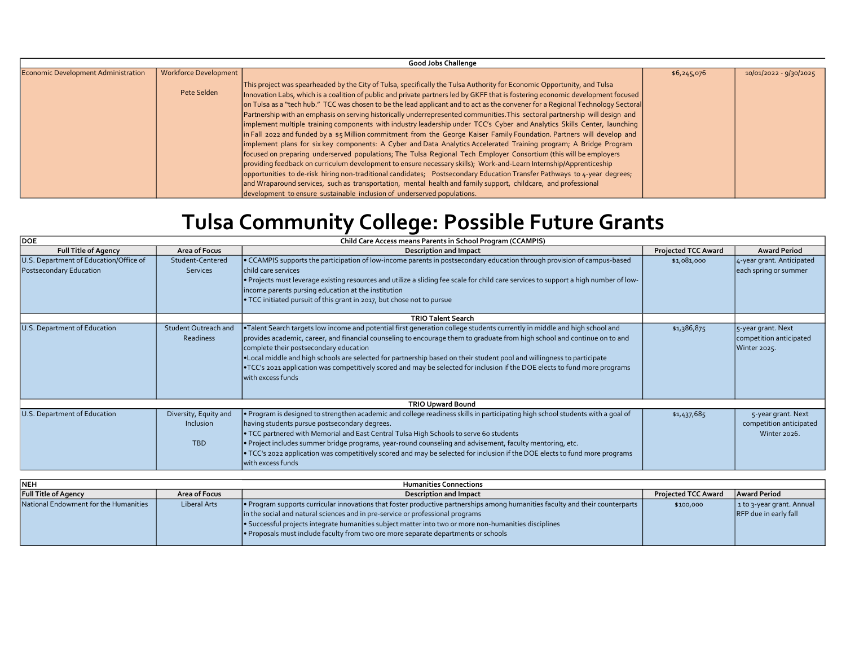| <b>Good Jobs Challenge</b>          |                       |                                                                                                                                                                                                                                                                                                                                                                                                                                                                                                                                                                                                                                                                                                                                                                                                                                                                                                                                                                                                                                                                                                                                                                                                                                                                                                                                                                                                    |             |                        |  |  |
|-------------------------------------|-----------------------|----------------------------------------------------------------------------------------------------------------------------------------------------------------------------------------------------------------------------------------------------------------------------------------------------------------------------------------------------------------------------------------------------------------------------------------------------------------------------------------------------------------------------------------------------------------------------------------------------------------------------------------------------------------------------------------------------------------------------------------------------------------------------------------------------------------------------------------------------------------------------------------------------------------------------------------------------------------------------------------------------------------------------------------------------------------------------------------------------------------------------------------------------------------------------------------------------------------------------------------------------------------------------------------------------------------------------------------------------------------------------------------------------|-------------|------------------------|--|--|
| Economic Development Administration | Workforce Development |                                                                                                                                                                                                                                                                                                                                                                                                                                                                                                                                                                                                                                                                                                                                                                                                                                                                                                                                                                                                                                                                                                                                                                                                                                                                                                                                                                                                    | \$6,245,076 | 10/01/2022 - 9/30/2025 |  |  |
|                                     | Pete Selden           | This project was spearheaded by the City of Tulsa, specifically the Tulsa Authority for Economic Opportunity, and Tulsa<br>Innovation Labs, which is a coalition of public and private partners led by GKFF that is fostering economic development focused<br>on Tulsa as a "tech hub." TCC was chosen to be the lead applicant and to act as the convener for a Regional Technology Sectoral<br>Partnership with an emphasis on serving historically underrepresented communities. This sectoral partnership will design and<br>implement multiple training components with industry leadership under TCC's Cyber and Analytics Skills Center, launching<br>in Fall 2022 and funded by a \$5 Million commitment from the George Kaiser Family Foundation. Partners will develop and<br>implement plans for six key components: A Cyber and Data Analytics Accelerated Training program; A Bridge Program<br>focused on preparing underserved populations; The Tulsa Regional Tech Employer Consortium (this will be employers<br>providing feedback on curriculum development to ensure necessary skills); Work-and-Learn Internship/Apprenticeship<br>opportunities to de-risk hiring non-traditional candidates; Postsecondary Education Transfer Pathways to 4-year degrees;<br>and Wraparound services, such as transportation, mental health and family support, childcare, and professional |             |                        |  |  |
|                                     |                       | development to ensure sustainable inclusion of underserved populations.                                                                                                                                                                                                                                                                                                                                                                                                                                                                                                                                                                                                                                                                                                                                                                                                                                                                                                                                                                                                                                                                                                                                                                                                                                                                                                                            |             |                        |  |  |

## Tulsa Community College: Possible Future Grants

| DOE<br>Child Care Access means Parents in School Program (CCAMPIS) |                                                  |                                                                                                                                                                                                                                                                                                                                                                                                                                                                                                                                                                                 |                            |                                                               |
|--------------------------------------------------------------------|--------------------------------------------------|---------------------------------------------------------------------------------------------------------------------------------------------------------------------------------------------------------------------------------------------------------------------------------------------------------------------------------------------------------------------------------------------------------------------------------------------------------------------------------------------------------------------------------------------------------------------------------|----------------------------|---------------------------------------------------------------|
| <b>Full Title of Agency</b>                                        | Area of Focus                                    | <b>Description and Impact</b>                                                                                                                                                                                                                                                                                                                                                                                                                                                                                                                                                   | <b>Projected TCC Award</b> | <b>Award Period</b>                                           |
| U.S. Department of Education/Office of<br>Postsecondary Education  | Student-Centered<br><b>Services</b>              | • CCAMPIS supports the participation of low-income parents in postsecondary education through provision of campus-based<br>child care services<br>. Projects must leverage existing resources and utilize a sliding fee scale for child care services to support a high number of low-<br>income parents pursing education at the institution<br>. TCC initiated pursuit of this grant in 2017, but chose not to pursue                                                                                                                                                         | \$1,081,000                | 4-year grant. Anticipated<br>each spring or summer            |
|                                                                    |                                                  | <b>TRIO Talent Search</b>                                                                                                                                                                                                                                                                                                                                                                                                                                                                                                                                                       |                            |                                                               |
| U.S. Department of Education                                       | Student Outreach and<br>Readiness                | . Talent Search targets low income and potential first generation college students currently in middle and high school and<br>provides academic, career, and financial counseling to encourage them to graduate from high school and continue on to and<br>complete their postsecondary education<br>. Local middle and high schools are selected for partnership based on their student pool and willingness to participate<br>•TCC's 2021 application was competitively scored and may be selected for inclusion if the DOE elects to fund more programs<br>with excess funds | \$1,386,875                | 5-year grant. Next<br>competition anticipated<br>Winter 2025. |
|                                                                    |                                                  | <b>TRIO Upward Bound</b>                                                                                                                                                                                                                                                                                                                                                                                                                                                                                                                                                        |                            |                                                               |
| U.S. Department of Education                                       | Diversity, Equity and<br>Inclusion<br><b>TBD</b> | . Program is designed to strengthen academic and college readiness skills in participating high school students with a goal of<br>having students pursue postsecondary degrees.<br>. TCC partnered with Memorial and East Central Tulsa High Schools to serve 60 students<br>. Project includes summer bridge programs, year-round counseling and advisement, faculty mentoring, etc.<br>• TCC's 2022 application was competitively scored and may be selected for inclusion if the DOE elects to fund more programs<br>with excess funds                                       | \$1,437,685                | 5-year grant. Next<br>competition anticipated<br>Winter 2026. |

| <b>NEH</b>                            |                     | <b>Humanities Connections</b>                                                                                                                                                                                                                                                                                                                                                                                |                            |                                                    |
|---------------------------------------|---------------------|--------------------------------------------------------------------------------------------------------------------------------------------------------------------------------------------------------------------------------------------------------------------------------------------------------------------------------------------------------------------------------------------------------------|----------------------------|----------------------------------------------------|
| <b>Full Title of Agency</b>           | Area of Focus       | Description and Impact                                                                                                                                                                                                                                                                                                                                                                                       | <b>Projected TCC Award</b> | Award Period                                       |
| National Endowment for the Humanities | <b>Liberal Arts</b> | Program supports curricular innovations that foster productive partnerships among humanities faculty and their counterparts  <br>in the social and natural sciences and in pre-service or professional programs<br>Successful projects integrate humanities subject matter into two or more non-humanities disciplines<br>. Proposals must include faculty from two ore more separate departments or schools | \$100,000                  | 1 to 3-year grant. Annual<br>RFP due in early fall |
|                                       |                     |                                                                                                                                                                                                                                                                                                                                                                                                              |                            |                                                    |